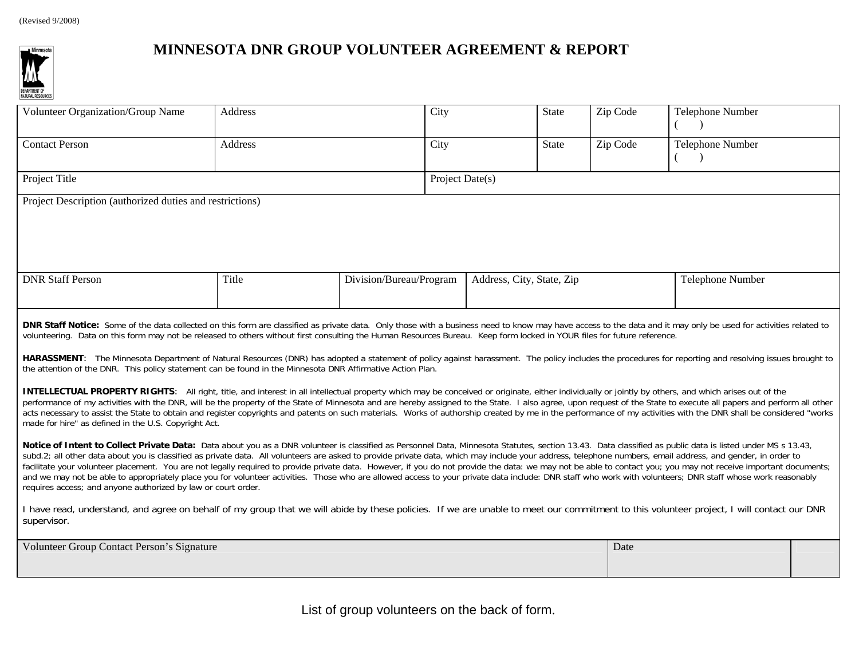

## **MINNESOTA DNR GROUP VOLUNTEER AGREEMENT & REPORT**

| Volunteer Organization/Group Name                                                                                                                                                                                                                                                                                                                                                                                                                                                                                                                                                                                                                                                                                                                                                                                                                                                                                           | Address | City                    |                           | <b>State</b> | Zip Code | Telephone Number        |  |  |  |
|-----------------------------------------------------------------------------------------------------------------------------------------------------------------------------------------------------------------------------------------------------------------------------------------------------------------------------------------------------------------------------------------------------------------------------------------------------------------------------------------------------------------------------------------------------------------------------------------------------------------------------------------------------------------------------------------------------------------------------------------------------------------------------------------------------------------------------------------------------------------------------------------------------------------------------|---------|-------------------------|---------------------------|--------------|----------|-------------------------|--|--|--|
| <b>Contact Person</b>                                                                                                                                                                                                                                                                                                                                                                                                                                                                                                                                                                                                                                                                                                                                                                                                                                                                                                       | Address | City                    |                           | <b>State</b> | Zip Code | <b>Telephone Number</b> |  |  |  |
| Project Title                                                                                                                                                                                                                                                                                                                                                                                                                                                                                                                                                                                                                                                                                                                                                                                                                                                                                                               |         |                         | Project Date(s)           |              |          |                         |  |  |  |
| Project Description (authorized duties and restrictions)                                                                                                                                                                                                                                                                                                                                                                                                                                                                                                                                                                                                                                                                                                                                                                                                                                                                    |         |                         |                           |              |          |                         |  |  |  |
|                                                                                                                                                                                                                                                                                                                                                                                                                                                                                                                                                                                                                                                                                                                                                                                                                                                                                                                             |         |                         |                           |              |          |                         |  |  |  |
|                                                                                                                                                                                                                                                                                                                                                                                                                                                                                                                                                                                                                                                                                                                                                                                                                                                                                                                             |         |                         |                           |              |          |                         |  |  |  |
|                                                                                                                                                                                                                                                                                                                                                                                                                                                                                                                                                                                                                                                                                                                                                                                                                                                                                                                             |         |                         |                           |              |          |                         |  |  |  |
| <b>DNR Staff Person</b>                                                                                                                                                                                                                                                                                                                                                                                                                                                                                                                                                                                                                                                                                                                                                                                                                                                                                                     | Title   | Division/Bureau/Program | Address, City, State, Zip |              |          | Telephone Number        |  |  |  |
|                                                                                                                                                                                                                                                                                                                                                                                                                                                                                                                                                                                                                                                                                                                                                                                                                                                                                                                             |         |                         |                           |              |          |                         |  |  |  |
| DNR Staff Notice: Some of the data collected on this form are classified as private data. Only those with a business need to know may have access to the data and it may only be used for activities related to<br>volunteering. Data on this form may not be released to others without first consulting the Human Resources Bureau. Keep form locked in YOUR files for future reference.                                                                                                                                                                                                                                                                                                                                                                                                                                                                                                                                  |         |                         |                           |              |          |                         |  |  |  |
| HARASSMENT: The Minnesota Department of Natural Resources (DNR) has adopted a statement of policy against harassment. The policy includes the procedures for reporting and resolving issues brought to<br>the attention of the DNR. This policy statement can be found in the Minnesota DNR Affirmative Action Plan.                                                                                                                                                                                                                                                                                                                                                                                                                                                                                                                                                                                                        |         |                         |                           |              |          |                         |  |  |  |
| <b>INTELLECTUAL PROPERTY RIGHTS:</b> All right, title, and interest in all intellectual property which may be conceived or originate, either individually or jointly by others, and which arises out of the<br>performance of my activities with the DNR, will be the property of the State of Minnesota and are hereby assigned to the State. I also agree, upon request of the State to execute all papers and perform all other<br>acts necessary to assist the State to obtain and register copyrights and patents on such materials. Works of authorship created by me in the performance of my activities with the DNR shall be considered "works<br>made for hire" as defined in the U.S. Copyright Act.                                                                                                                                                                                                             |         |                         |                           |              |          |                         |  |  |  |
| Notice of Intent to Collect Private Data: Data about you as a DNR volunteer is classified as Personnel Data, Minnesota Statutes, section 13.43. Data classified as public data is listed under MS s 13.43,<br>subd.2; all other data about you is classified as private data. All volunteers are asked to provide private data, which may include your address, telephone numbers, email address, and gender, in order to<br>facilitate your volunteer placement. You are not legally required to provide private data. However, if you do not provide the data: we may not be able to contact you; you may not receive important documents;<br>and we may not be able to appropriately place you for volunteer activities. Those who are allowed access to your private data include: DNR staff who work with volunteers; DNR staff whose work reasonably<br>requires access; and anyone authorized by law or court order. |         |                         |                           |              |          |                         |  |  |  |

I have read, understand, and agree on behalf of my group that we will abide by these policies. If we are unable to meet our commitment to this volunteer project, I will contact our DNR supervisor.

| Volunteer Group Contact Person's Signature | Date |  |
|--------------------------------------------|------|--|
|                                            |      |  |

List of group volunteers on the back of form.